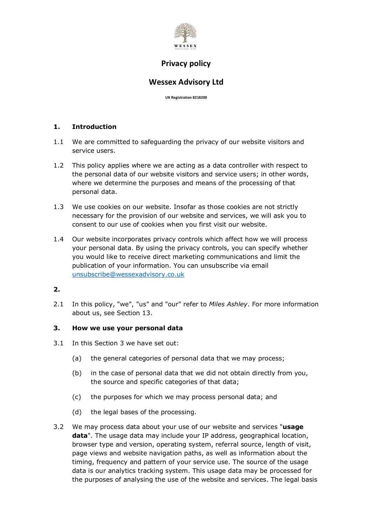

### **Wessex Advisory Ltd**

**UK Registration 8218200**

### **1. Introduction**

- 1.1 We are committed to safeguarding the privacy of our website visitors and service users.
- 1.2 This policy applies where we are acting as a data controller with respect to the personal data of our website visitors and service users; in other words, where we determine the purposes and means of the processing of that personal data.
- 1.3 We use cookies on our website. Insofar as those cookies are not strictly necessary for the provision of our website and services, we will ask you to consent to our use of cookies when you first visit our website.
- 1.4 Our website incorporates privacy controls which affect how we will process your personal data. By using the privacy controls, you can specify whether you would like to receive direct marketing communications and limit the publication of your information. You can unsubscribe via email unsubscribe@wessexadvisory.co.uk

### **2.**

2.1 In this policy, "we", "us" and "our" refer to *Miles Ashley*. For more information about us, see Section 13.

#### **3. How we use your personal data**

- 3.1 In this Section 3 we have set out:
	- (a) the general categories of personal data that we may process;
	- (b) in the case of personal data that we did not obtain directly from you, the source and specific categories of that data;
	- (c) the purposes for which we may process personal data; and
	- (d) the legal bases of the processing.
- 3.2 We may process data about your use of our website and services "**usage data**". The usage data may include your IP address, geographical location, browser type and version, operating system, referral source, length of visit, page views and website navigation paths, as well as information about the timing, frequency and pattern of your service use. The source of the usage data is our analytics tracking system. This usage data may be processed for the purposes of analysing the use of the website and services. The legal basis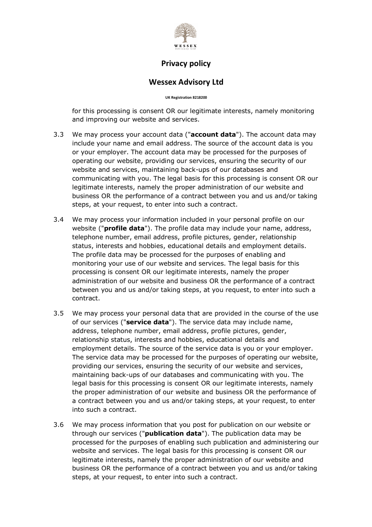

### **Wessex Advisory Ltd**

**UK Registration 8218200**

for this processing is consent OR our legitimate interests, namely monitoring and improving our website and services.

- 3.3 We may process your account data ("**account data**"). The account data may include your name and email address. The source of the account data is you or your employer. The account data may be processed for the purposes of operating our website, providing our services, ensuring the security of our website and services, maintaining back-ups of our databases and communicating with you. The legal basis for this processing is consent OR our legitimate interests, namely the proper administration of our website and business OR the performance of a contract between you and us and/or taking steps, at your request, to enter into such a contract.
- 3.4 We may process your information included in your personal profile on our website ("**profile data**"). The profile data may include your name, address, telephone number, email address, profile pictures, gender, relationship status, interests and hobbies, educational details and employment details. The profile data may be processed for the purposes of enabling and monitoring your use of our website and services. The legal basis for this processing is consent OR our legitimate interests, namely the proper administration of our website and business OR the performance of a contract between you and us and/or taking steps, at you request, to enter into such a contract.
- 3.5 We may process your personal data that are provided in the course of the use of our services ("**service data**"). The service data may include name, address, telephone number, email address, profile pictures, gender, relationship status, interests and hobbies, educational details and employment details. The source of the service data is you or your employer. The service data may be processed for the purposes of operating our website, providing our services, ensuring the security of our website and services, maintaining back-ups of our databases and communicating with you. The legal basis for this processing is consent OR our legitimate interests, namely the proper administration of our website and business OR the performance of a contract between you and us and/or taking steps, at your request, to enter into such a contract.
- 3.6 We may process information that you post for publication on our website or through our services ("**publication data**"). The publication data may be processed for the purposes of enabling such publication and administering our website and services. The legal basis for this processing is consent OR our legitimate interests, namely the proper administration of our website and business OR the performance of a contract between you and us and/or taking steps, at your request, to enter into such a contract.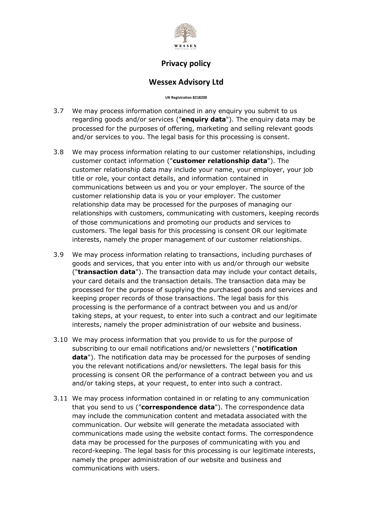

### **Wessex Advisory Ltd**

**UK Registration 8218200**

- 3.7 We may process information contained in any enquiry you submit to us regarding goods and/or services ("**enquiry data**"). The enquiry data may be processed for the purposes of offering, marketing and selling relevant goods and/or services to you. The legal basis for this processing is consent.
- 3.8 We may process information relating to our customer relationships, including customer contact information ("**customer relationship data**"). The customer relationship data may include your name, your employer, your job title or role, your contact details, and information contained in communications between us and you or your employer. The source of the customer relationship data is you or your employer. The customer relationship data may be processed for the purposes of managing our relationships with customers, communicating with customers, keeping records of those communications and promoting our products and services to customers. The legal basis for this processing is consent OR our legitimate interests, namely the proper management of our customer relationships.
- 3.9 We may process information relating to transactions, including purchases of goods and services, that you enter into with us and/or through our website ("**transaction data**"). The transaction data may include your contact details, your card details and the transaction details. The transaction data may be processed for the purpose of supplying the purchased goods and services and keeping proper records of those transactions. The legal basis for this processing is the performance of a contract between you and us and/or taking steps, at your request, to enter into such a contract and our legitimate interests, namely the proper administration of our website and business.
- 3.10 We may process information that you provide to us for the purpose of subscribing to our email notifications and/or newsletters ("**notification data**"). The notification data may be processed for the purposes of sending you the relevant notifications and/or newsletters. The legal basis for this processing is consent OR the performance of a contract between you and us and/or taking steps, at your request, to enter into such a contract.
- 3.11 We may process information contained in or relating to any communication that you send to us ("**correspondence data**"). The correspondence data may include the communication content and metadata associated with the communication. Our website will generate the metadata associated with communications made using the website contact forms. The correspondence data may be processed for the purposes of communicating with you and record-keeping. The legal basis for this processing is our legitimate interests, namely the proper administration of our website and business and communications with users.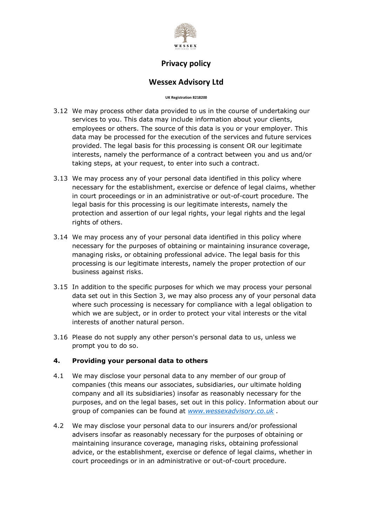

### **Wessex Advisory Ltd**

**UK Registration 8218200**

- 3.12 We may process other data provided to us in the course of undertaking our services to you. This data may include information about your clients, employees or others. The source of this data is you or your employer. This data may be processed for the execution of the services and future services provided. The legal basis for this processing is consent OR our legitimate interests, namely the performance of a contract between you and us and/or taking steps, at your request, to enter into such a contract.
- 3.13 We may process any of your personal data identified in this policy where necessary for the establishment, exercise or defence of legal claims, whether in court proceedings or in an administrative or out-of-court procedure. The legal basis for this processing is our legitimate interests, namely the protection and assertion of our legal rights, your legal rights and the legal rights of others.
- 3.14 We may process any of your personal data identified in this policy where necessary for the purposes of obtaining or maintaining insurance coverage, managing risks, or obtaining professional advice. The legal basis for this processing is our legitimate interests, namely the proper protection of our business against risks.
- 3.15 In addition to the specific purposes for which we may process your personal data set out in this Section 3, we may also process any of your personal data where such processing is necessary for compliance with a legal obligation to which we are subject, or in order to protect your vital interests or the vital interests of another natural person.
- 3.16 Please do not supply any other person's personal data to us, unless we prompt you to do so.

### **4. Providing your personal data to others**

- 4.1 We may disclose your personal data to any member of our group of companies (this means our associates, subsidiaries, our ultimate holding company and all its subsidiaries) insofar as reasonably necessary for the purposes, and on the legal bases, set out in this policy. Information about our group of companies can be found at *www.wessexadvisory.co.uk .*
- 4.2 We may disclose your personal data to our insurers and/or professional advisers insofar as reasonably necessary for the purposes of obtaining or maintaining insurance coverage, managing risks, obtaining professional advice, or the establishment, exercise or defence of legal claims, whether in court proceedings or in an administrative or out-of-court procedure.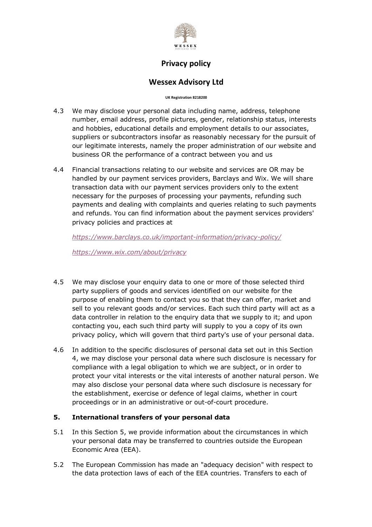

## **Wessex Advisory Ltd**

#### **UK Registration 8218200**

- 4.3 We may disclose your personal data including name, address, telephone number, email address, profile pictures, gender, relationship status, interests and hobbies, educational details and employment details to our associates, suppliers or subcontractors insofar as reasonably necessary for the pursuit of our legitimate interests, namely the proper administration of our website and business OR the performance of a contract between you and us
- 4.4 Financial transactions relating to our website and services are OR may be handled by our payment services providers, Barclays and Wix. We will share transaction data with our payment services providers only to the extent necessary for the purposes of processing your payments, refunding such payments and dealing with complaints and queries relating to such payments and refunds. You can find information about the payment services providers' privacy policies and practices at

*https://www.barclays.co.uk/important-information/privacy-policy/*

*https://www.wix.com/about/privacy*

- 4.5 We may disclose your enquiry data to one or more of those selected third party suppliers of goods and services identified on our website for the purpose of enabling them to contact you so that they can offer, market and sell to you relevant goods and/or services. Each such third party will act as a data controller in relation to the enquiry data that we supply to it; and upon contacting you, each such third party will supply to you a copy of its own privacy policy, which will govern that third party's use of your personal data.
- 4.6 In addition to the specific disclosures of personal data set out in this Section 4, we may disclose your personal data where such disclosure is necessary for compliance with a legal obligation to which we are subject, or in order to protect your vital interests or the vital interests of another natural person. We may also disclose your personal data where such disclosure is necessary for the establishment, exercise or defence of legal claims, whether in court proceedings or in an administrative or out-of-court procedure.

#### **5. International transfers of your personal data**

- 5.1 In this Section 5, we provide information about the circumstances in which your personal data may be transferred to countries outside the European Economic Area (EEA).
- 5.2 The European Commission has made an "adequacy decision" with respect to the data protection laws of each of the EEA countries. Transfers to each of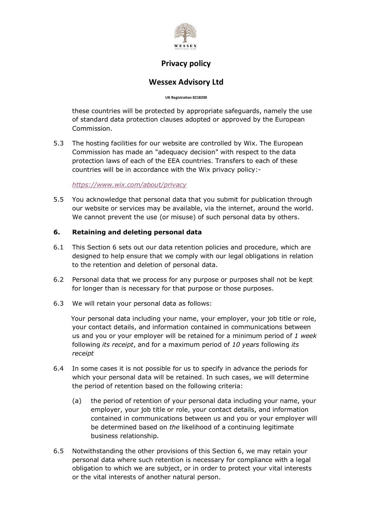

### **Wessex Advisory Ltd**

**UK Registration 8218200**

these countries will be protected by appropriate safeguards, namely the use of standard data protection clauses adopted or approved by the European Commission.

5.3 The hosting facilities for our website are controlled by Wix. The European Commission has made an "adequacy decision" with respect to the data protection laws of each of the EEA countries. Transfers to each of these countries will be in accordance with the Wix privacy policy:-

*https://www.wix.com/about/privacy*

5.5 You acknowledge that personal data that you submit for publication through our website or services may be available, via the internet, around the world. We cannot prevent the use (or misuse) of such personal data by others.

### **6. Retaining and deleting personal data**

- 6.1 This Section 6 sets out our data retention policies and procedure, which are designed to help ensure that we comply with our legal obligations in relation to the retention and deletion of personal data.
- 6.2 Personal data that we process for any purpose or purposes shall not be kept for longer than is necessary for that purpose or those purposes.
- 6.3 We will retain your personal data as follows:

 Your personal data including your name, your employer, your job title or role, your contact details, and information contained in communications between us and you or your employer will be retained for a minimum period of *1 week* following *its receipt*, and for a maximum period of *10 years* following *its receipt*

- 6.4 In some cases it is not possible for us to specify in advance the periods for which your personal data will be retained. In such cases, we will determine the period of retention based on the following criteria:
	- (a) the period of retention of your personal data including your name, your employer, your job title or role, your contact details, and information contained in communications between us and you or your employer will be determined based on *the* likelihood of a continuing legitimate business relationship*.*
- 6.5 Notwithstanding the other provisions of this Section 6, we may retain your personal data where such retention is necessary for compliance with a legal obligation to which we are subject, or in order to protect your vital interests or the vital interests of another natural person.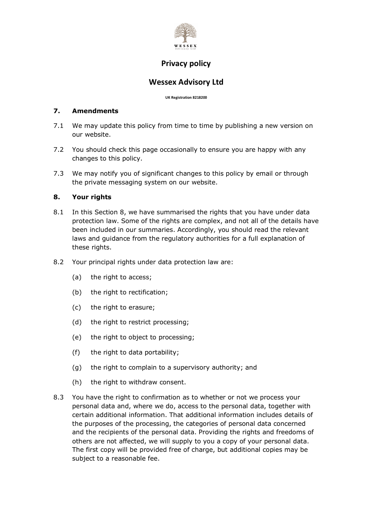

## **Wessex Advisory Ltd**

**UK Registration 8218200**

#### **7. Amendments**

- 7.1 We may update this policy from time to time by publishing a new version on our website.
- 7.2 You should check this page occasionally to ensure you are happy with any changes to this policy.
- 7.3 We may notify you of significant changes to this policy by email or through the private messaging system on our website.

### **8. Your rights**

- 8.1 In this Section 8, we have summarised the rights that you have under data protection law. Some of the rights are complex, and not all of the details have been included in our summaries. Accordingly, you should read the relevant laws and guidance from the regulatory authorities for a full explanation of these rights.
- 8.2 Your principal rights under data protection law are:
	- (a) the right to access;
	- (b) the right to rectification;
	- (c) the right to erasure;
	- (d) the right to restrict processing;
	- (e) the right to object to processing;
	- (f) the right to data portability;
	- (g) the right to complain to a supervisory authority; and
	- (h) the right to withdraw consent.
- 8.3 You have the right to confirmation as to whether or not we process your personal data and, where we do, access to the personal data, together with certain additional information. That additional information includes details of the purposes of the processing, the categories of personal data concerned and the recipients of the personal data. Providing the rights and freedoms of others are not affected, we will supply to you a copy of your personal data. The first copy will be provided free of charge, but additional copies may be subject to a reasonable fee.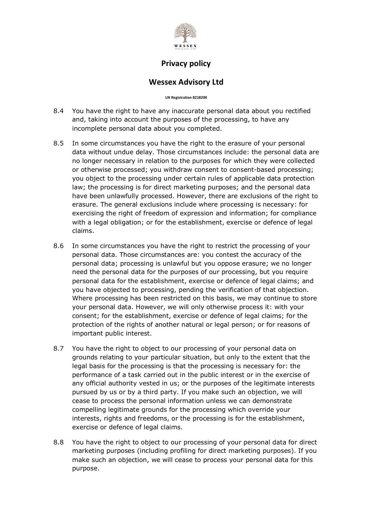

### **Wessex Advisory Ltd**

**UK Registration 8218200**

- 8.4 You have the right to have any inaccurate personal data about you rectified and, taking into account the purposes of the processing, to have any incomplete personal data about you completed.
- 8.5 In some circumstances you have the right to the erasure of your personal data without undue delay. Those circumstances include: the personal data are no longer necessary in relation to the purposes for which they were collected or otherwise processed; you withdraw consent to consent-based processing; you object to the processing under certain rules of applicable data protection law; the processing is for direct marketing purposes; and the personal data have been unlawfully processed. However, there are exclusions of the right to erasure. The general exclusions include where processing is necessary: for exercising the right of freedom of expression and information; for compliance with a legal obligation; or for the establishment, exercise or defence of legal claims.
- 8.6 In some circumstances you have the right to restrict the processing of your personal data. Those circumstances are: you contest the accuracy of the personal data; processing is unlawful but you oppose erasure; we no longer need the personal data for the purposes of our processing, but you require personal data for the establishment, exercise or defence of legal claims; and you have objected to processing, pending the verification of that objection. Where processing has been restricted on this basis, we may continue to store your personal data. However, we will only otherwise process it: with your consent; for the establishment, exercise or defence of legal claims; for the protection of the rights of another natural or legal person; or for reasons of important public interest.
- 8.7 You have the right to object to our processing of your personal data on grounds relating to your particular situation, but only to the extent that the legal basis for the processing is that the processing is necessary for: the performance of a task carried out in the public interest or in the exercise of any official authority vested in us; or the purposes of the legitimate interests pursued by us or by a third party. If you make such an objection, we will cease to process the personal information unless we can demonstrate compelling legitimate grounds for the processing which override your interests, rights and freedoms, or the processing is for the establishment, exercise or defence of legal claims.
- 8.8 You have the right to object to our processing of your personal data for direct marketing purposes (including profiling for direct marketing purposes). If you make such an objection, we will cease to process your personal data for this purpose.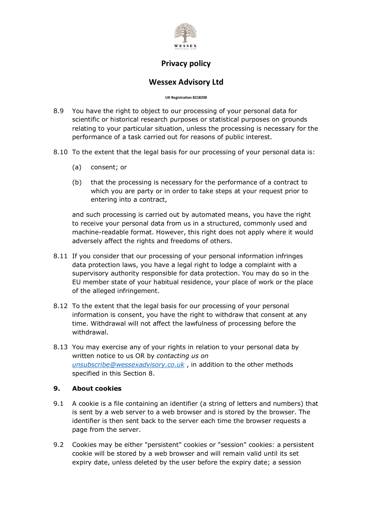

## **Wessex Advisory Ltd**

#### **UK Registration 8218200**

- 8.9 You have the right to object to our processing of your personal data for scientific or historical research purposes or statistical purposes on grounds relating to your particular situation, unless the processing is necessary for the performance of a task carried out for reasons of public interest.
- 8.10 To the extent that the legal basis for our processing of your personal data is:
	- (a) consent; or
	- (b) that the processing is necessary for the performance of a contract to which you are party or in order to take steps at your request prior to entering into a contract,

and such processing is carried out by automated means, you have the right to receive your personal data from us in a structured, commonly used and machine-readable format. However, this right does not apply where it would adversely affect the rights and freedoms of others.

- 8.11 If you consider that our processing of your personal information infringes data protection laws, you have a legal right to lodge a complaint with a supervisory authority responsible for data protection. You may do so in the EU member state of your habitual residence, your place of work or the place of the alleged infringement.
- 8.12 To the extent that the legal basis for our processing of your personal information is consent, you have the right to withdraw that consent at any time. Withdrawal will not affect the lawfulness of processing before the withdrawal.
- 8.13 You may exercise any of your rights in relation to your personal data by written notice to us OR by *contacting us on unsubscribe@wessexadvisory.co.uk* , in addition to the other methods specified in this Section 8.

### **9. About cookies**

- 9.1 A cookie is a file containing an identifier (a string of letters and numbers) that is sent by a web server to a web browser and is stored by the browser. The identifier is then sent back to the server each time the browser requests a page from the server.
- 9.2 Cookies may be either "persistent" cookies or "session" cookies: a persistent cookie will be stored by a web browser and will remain valid until its set expiry date, unless deleted by the user before the expiry date; a session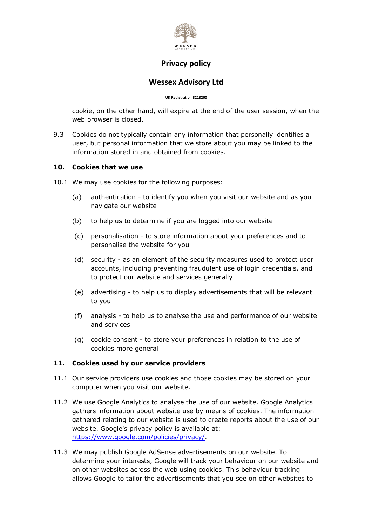

### **Wessex Advisory Ltd**

**UK Registration 8218200**

cookie, on the other hand, will expire at the end of the user session, when the web browser is closed.

9.3 Cookies do not typically contain any information that personally identifies a user, but personal information that we store about you may be linked to the information stored in and obtained from cookies.

#### **10. Cookies that we use**

- 10.1 We may use cookies for the following purposes:
	- (a) authentication to identify you when you visit our website and as you navigate our website
	- (b) to help us to determine if you are logged into our website
	- (c) personalisation to store information about your preferences and to personalise the website for you
	- (d) security as an element of the security measures used to protect user accounts, including preventing fraudulent use of login credentials, and to protect our website and services generally
	- (e) advertising to help us to display advertisements that will be relevant to you
	- (f) analysis to help us to analyse the use and performance of our website and services
	- (g) cookie consent to store your preferences in relation to the use of cookies more general

#### **11. Cookies used by our service providers**

- 11.1 Our service providers use cookies and those cookies may be stored on your computer when you visit our website.
- 11.2 We use Google Analytics to analyse the use of our website. Google Analytics gathers information about website use by means of cookies. The information gathered relating to our website is used to create reports about the use of our website. Google's privacy policy is available at: https://www.google.com/policies/privacy/.
- 11.3 We may publish Google AdSense advertisements on our website. To determine your interests, Google will track your behaviour on our website and on other websites across the web using cookies. This behaviour tracking allows Google to tailor the advertisements that you see on other websites to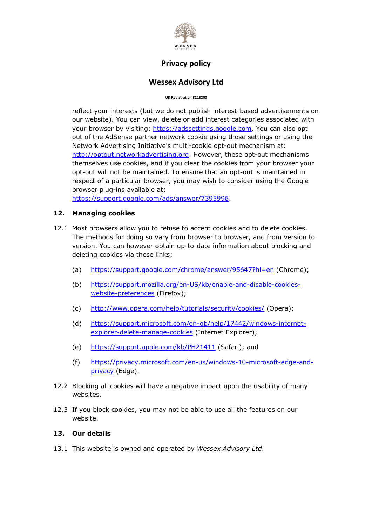

## **Wessex Advisory Ltd**

**UK Registration 8218200**

reflect your interests (but we do not publish interest-based advertisements on our website). You can view, delete or add interest categories associated with your browser by visiting: https://adssettings.google.com. You can also opt out of the AdSense partner network cookie using those settings or using the Network Advertising Initiative's multi-cookie opt-out mechanism at: http://optout.networkadvertising.org. However, these opt-out mechanisms themselves use cookies, and if you clear the cookies from your browser your opt-out will not be maintained. To ensure that an opt-out is maintained in respect of a particular browser, you may wish to consider using the Google browser plug-ins available at:

https://support.google.com/ads/answer/7395996.

#### **12. Managing cookies**

- 12.1 Most browsers allow you to refuse to accept cookies and to delete cookies. The methods for doing so vary from browser to browser, and from version to version. You can however obtain up-to-date information about blocking and deleting cookies via these links:
	- (a) https://support.google.com/chrome/answer/95647?hl=en (Chrome);
	- (b) https://support.mozilla.org/en-US/kb/enable-and-disable-cookieswebsite-preferences (Firefox);
	- (c) http://www.opera.com/help/tutorials/security/cookies/ (Opera);
	- (d) https://support.microsoft.com/en-gb/help/17442/windows-internetexplorer-delete-manage-cookies (Internet Explorer);
	- (e) https://support.apple.com/kb/PH21411 (Safari); and
	- (f) https://privacy.microsoft.com/en-us/windows-10-microsoft-edge-andprivacy (Edge).
- 12.2 Blocking all cookies will have a negative impact upon the usability of many websites.
- 12.3 If you block cookies, you may not be able to use all the features on our website.

#### **13. Our details**

13.1 This website is owned and operated by *Wessex Advisory Ltd*.